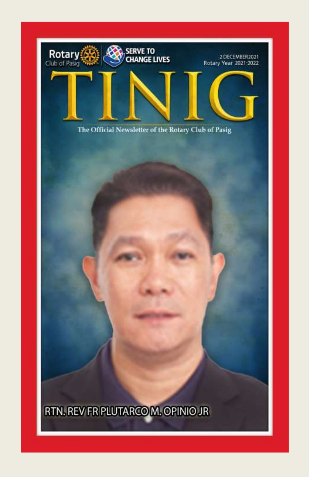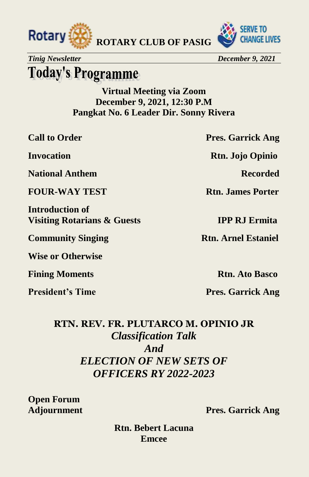



*Tinig Newsletter December 9, 2021* 

### **Today's Programme**

**Virtual Meeting via Zoom December 9, 2021, 12:30 P.M Pangkat No. 6 Leader Dir. Sonny Rivera** 

**National Anthem Recorded** 

**FOUR-WAY TEST Rtn. James Porter** 

**Introduction of Visiting Rotarians & Guests IPP RJ Ermita** 

**Community Singing Rtn. Arnel Estaniel** 

**Wise or Otherwise** 

**Fining Moments Rtn. Ato Basco** 

**Call to Order Pres. Garrick Ang** 

**Invocation Rtn. Jojo Opinio** 

**President's Time Pres. Garrick Ang** 

#### **RTN. REV. FR. PLUTARCO M. OPINIO JR**  *Classification Talk And ELECTION OF NEW SETS OF OFFICERS RY 2022-2023*

**Open Forum**

**Adjournment Pres. Garrick Ang** 

**Rtn. Bebert Lacuna Emcee**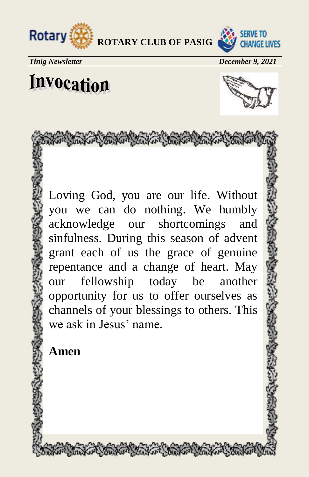

The first the fort the way to the first the



*Tinig Newsletter December 9, 2021*

## Invocation



Loving God, you are our life. Without you we can do nothing. We humbly acknowledge our shortcomings and sinfulness. During this season of advent grant each of us the grace of genuine repentance and a change of heart. May our fellowship today be another opportunity for us to offer ourselves as channels of your blessings to others. This we ask in Jesus' name.

**Amen**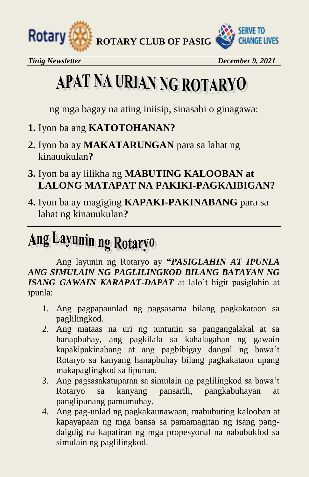



*Tinig Newsletter December 9, 2021* 

# APAT NA URIAN NG ROTARYO

ng mga bagay na ating iniisip, sinasabi o ginagawa:

- **1.** Iyon ba ang **KATOTOHANAN?**
- **2.** Iyon ba ay **MAKATARUNGAN** para sa lahat ng kinauukulan**?**
- **3.** Iyon ba ay lilikha ng **MABUTING KALOOBAN at LALONG MATAPAT NA PAKIKI-PAGKAIBIGAN?**
- **4.** Iyon ba ay magiging **KAPAKI-PAKINABANG** para sa lahat ng kinauukulan**?**

## Ang Layunin ng Rotaryo

Ang layunin ng Rotaryo ay **"***PASIGLAHIN AT IPUNLA ANG SIMULAIN NG PAGLILINGKOD BILANG BATAYAN NG ISANG GAWAIN KARAPAT-DAPAT* at lalo't higit pasiglahin at ipunla:

- 1. Ang pagpapaunlad ng pagsasama bilang pagkakataon sa paglilingkod.
- 2. Ang mataas na uri ng tuntunin sa pangangalakal at sa hanapbuhay, ang pagkilala sa kahalagahan ng gawain kapakipakinabang at ang pagbibigay dangal ng bawa't Rotaryo sa kanyang hanapbuhay bilang pagkakataon upang makapaglingkod sa lipunan.
- 3. Ang pagsasakatuparan sa simulain ng paglilingkod sa bawa't Rotaryo sa kanyang pansarili, pangkabuhayan at panglipunang pamumuhay.
- 4. Ang pag-unlad ng pagkakaunawaan, mabubuting kalooban at kapayapaan ng mga bansa sa pamamagitan ng isang pangdaigdig na kapatiran ng mga propesyonal na nabubuklod sa simulain ng paglilingkod.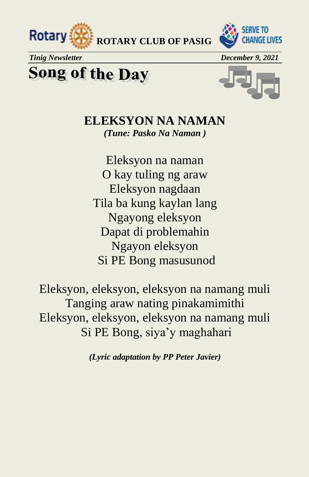



*Tinig Newsletter* December 9, 2021

**Song of the Day** 



**ELEKSYON NA NAMAN** *(Tune: Pasko Na Naman )*

Eleksyon na naman O kay tuling ng araw Eleksyon nagdaan Tila ba kung kaylan lang Ngayong eleksyon Dapat di problemahin Ngayon eleksyon Si PE Bong masusunod

Eleksyon, eleksyon, eleksyon na namang muli Tanging araw nating pinakamimithi Eleksyon, eleksyon, eleksyon na namang muli Si PE Bong, siya'y maghahari

*(Lyric adaptation by PP Peter Javier)*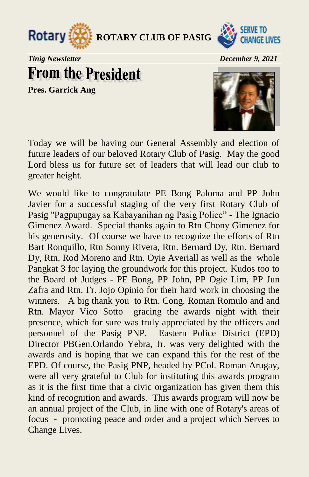



*Tinig Newsletter* December 9, 2021

**From the President** 

**Pres. Garrick Ang**



Today we will be having our General Assembly and election of future leaders of our beloved Rotary Club of Pasig. May the good Lord bless us for future set of leaders that will lead our club to greater height.

We would like to congratulate PE Bong Paloma and PP John Javier for a successful staging of the very first Rotary Club of Pasig "Pagpupugay sa Kabayanihan ng Pasig Police" - The Ignacio Gimenez Award. Special thanks again to Rtn Chony Gimenez for his generosity. Of course we have to recognize the efforts of Rtn Bart Ronquillo, Rtn Sonny Rivera, Rtn. Bernard Dy, Rtn. Bernard Dy, Rtn. Rod Moreno and Rtn. Oyie Averiall as well as the whole Pangkat 3 for laying the groundwork for this project. Kudos too to the Board of Judges - PE Bong, PP John, PP Ogie Lim, PP Jun Zafra and Rtn. Fr. Jojo Opinio for their hard work in choosing the winners. A big thank you to Rtn. Cong. Roman Romulo and and Rtn. Mayor Vico Sotto gracing the awards night with their presence, which for sure was truly appreciated by the officers and personnel of the Pasig PNP. Eastern Police District (EPD) Director PBGen.Orlando Yebra, Jr. was very delighted with the awards and is hoping that we can expand this for the rest of the EPD. Of course, the Pasig PNP, headed by PCol. Roman Arugay, were all very grateful to Club for instituting this awards program as it is the first time that a civic organization has given them this kind of recognition and awards. This awards program will now be an annual project of the Club, in line with one of Rotary's areas of focus - promoting peace and order and a project which Serves to Change Lives.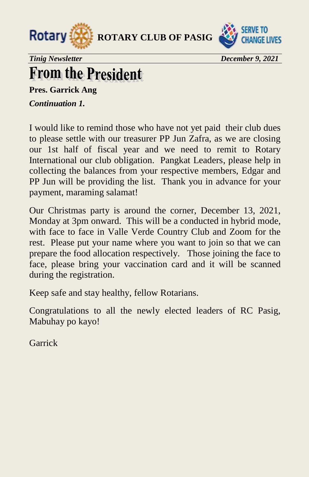



*Tinig Newsletter December 9, 2021*

### **From the President**

**Pres. Garrick Ang**

*Continuation 1.*

I would like to remind those who have not yet paid their club dues to please settle with our treasurer PP Jun Zafra, as we are closing our 1st half of fiscal year and we need to remit to Rotary International our club obligation. Pangkat Leaders, please help in collecting the balances from your respective members, Edgar and PP Jun will be providing the list. Thank you in advance for your payment, maraming salamat!

Our Christmas party is around the corner, December 13, 2021, Monday at 3pm onward. This will be a conducted in hybrid mode, with face to face in Valle Verde Country Club and Zoom for the rest. Please put your name where you want to join so that we can prepare the food allocation respectively. Those joining the face to face, please bring your vaccination card and it will be scanned during the registration.

Keep safe and stay healthy, fellow Rotarians.

Congratulations to all the newly elected leaders of RC Pasig, Mabuhay po kayo!

Garrick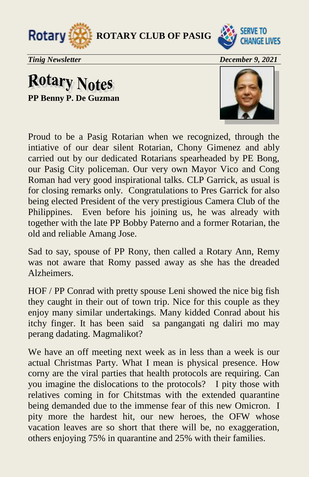



*Tinig Newsletter December 9, 2021*

**Rotary Notes PP Benny P. De Guzman**



Proud to be a Pasig Rotarian when we recognized, through the intiative of our dear silent Rotarian, Chony Gimenez and ably carried out by our dedicated Rotarians spearheaded by PE Bong, our Pasig City policeman. Our very own Mayor Vico and Cong Roman had very good inspirational talks. CLP Garrick, as usual is for closing remarks only. Congratulations to Pres Garrick for also being elected President of the very prestigious Camera Club of the Philippines. Even before his joining us, he was already with together with the late PP Bobby Paterno and a former Rotarian, the old and reliable Amang Jose.

Sad to say, spouse of PP Rony, then called a Rotary Ann, Remy was not aware that Romy passed away as she has the dreaded Alzheimers.

HOF / PP Conrad with pretty spouse Leni showed the nice big fish they caught in their out of town trip. Nice for this couple as they enjoy many similar undertakings. Many kidded Conrad about his itchy finger. It has been said sa pangangati ng daliri mo may perang dadating. Magmalikot?

We have an off meeting next week as in less than a week is our actual Christmas Party. What I mean is physical presence. How corny are the viral parties that health protocols are requiring. Can you imagine the dislocations to the protocols? I pity those with relatives coming in for Chitstmas with the extended quarantine being demanded due to the immense fear of this new Omicron. I pity more the hardest hit, our new heroes, the OFW whose vacation leaves are so short that there will be, no exaggeration, others enjoying 75% in quarantine and 25% with their families.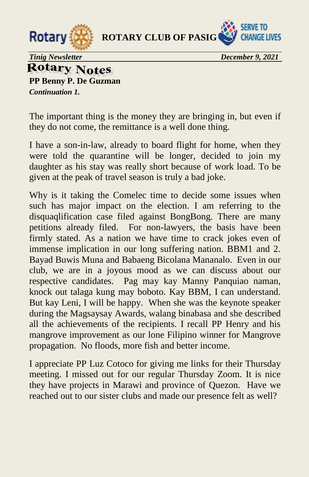



*Tinig Newsletter December 9, 2021* 

**Rotary Notes PP Benny P. De Guzman**  *Continuation 1.* 

The important thing is the money they are bringing in, but even if they do not come, the remittance is a well done thing.

I have a son-in-law, already to board flight for home, when they were told the quarantine will be longer, decided to join my daughter as his stay was really short because of work load. To be given at the peak of travel season is truly a bad joke.

Why is it taking the Comelec time to decide some issues when such has major impact on the election. I am referring to the disquaqlification case filed against BongBong. There are many petitions already filed. For non-lawyers, the basis have been firmly stated. As a nation we have time to crack jokes even of immense implication in our long suffering nation. BBM1 and 2. Bayad Buwis Muna and Babaeng Bicolana Mananalo. Even in our club, we are in a joyous mood as we can discuss about our respective candidates. Pag may kay Manny Panquiao naman, knock out talaga kung may boboto. Kay BBM, I can understand. But kay Leni, I will be happy. When she was the keynote speaker during the Magsaysay Awards, walang binabasa and she described all the achievements of the recipients. I recall PP Henry and his mangrove improvement as our lone Filipino winner for Mangrove propagation. No floods, more fish and better income.

I appreciate PP Luz Cotoco for giving me links for their Thursday meeting. I missed out for our regular Thursday Zoom. It is nice they have projects in Marawi and province of Quezon. Have we reached out to our sister clubs and made our presence felt as well?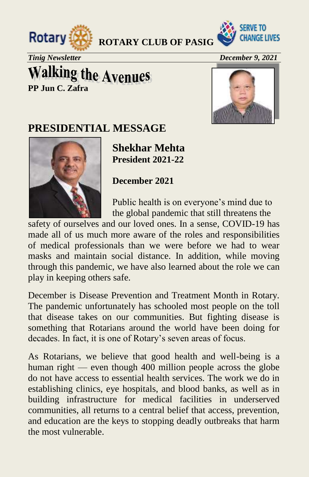



*Tinig Newsletter December 9, 2021* 

### **Walking the Avenues PP Jun C. Zafra**



### **PRESIDENTIAL MESSAGE**

**Shekhar Mehta President 2021-22** 

**December 2021** 

Public health is on everyone's mind due to the global pandemic that still threatens the

safety of ourselves and our loved ones. In a sense, COVID-19 has made all of us much more aware of the roles and responsibilities of medical professionals than we were before we had to wear masks and maintain social distance. In addition, while moving through this pandemic, we have also learned about the role we can play in keeping others safe.

December is Disease Prevention and Treatment Month in Rotary. The pandemic unfortunately has schooled most people on the toll that disease takes on our communities. But fighting disease is something that Rotarians around the world have been doing for decades. In fact, it is one of Rotary's seven areas of focus.

As Rotarians, we believe that good health and well-being is a human right — even though 400 million people across the globe do not have access to essential health services. The work we do in establishing clinics, eye hospitals, and blood banks, as well as in building infrastructure for medical facilities in underserved communities, all returns to a central belief that access, prevention, and education are the keys to stopping deadly outbreaks that harm the most vulnerable.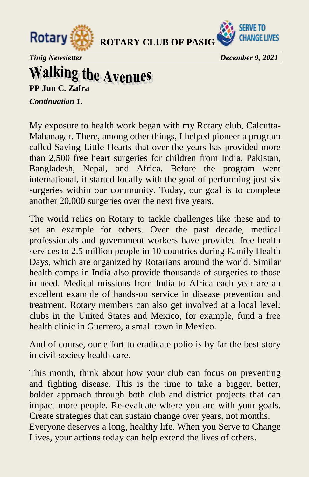



*Tinig Newsletter December 9, 2021*

# **Walking the Avenues**<br>PP Jun C. Zafra

*Continuation 1.* 

My exposure to health work began with my Rotary club, Calcutta-Mahanagar. There, among other things, I helped pioneer a program called Saving Little Hearts that over the years has provided more than 2,500 free heart surgeries for children from India, Pakistan, Bangladesh, Nepal, and Africa. Before the program went international, it started locally with the goal of performing just six surgeries within our community. Today, our goal is to complete another 20,000 surgeries over the next five years.

The world relies on Rotary to tackle challenges like these and to set an example for others. Over the past decade, medical professionals and government workers have provided free health services to 2.5 million people in 10 countries during Family Health Days, which are organized by Rotarians around the world. Similar health camps in India also provide thousands of surgeries to those in need. Medical missions from India to Africa each year are an excellent example of hands-on service in disease prevention and treatment. Rotary members can also get involved at a local level; clubs in the United States and Mexico, for example, fund a free health clinic in Guerrero, a small town in Mexico.

And of course, our effort to eradicate polio is by far the best story in civil-society health care.

This month, think about how your club can focus on preventing and fighting disease. This is the time to take a bigger, better, bolder approach through both club and district projects that can impact more people. Re-evaluate where you are with your goals. Create strategies that can sustain change over years, not months. Everyone deserves a long, healthy life. When you Serve to Change Lives, your actions today can help extend the lives of others.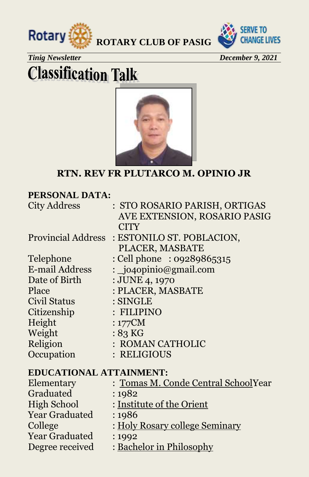



#### *Tinig Newsletter December 9, 2021*

## **Classification Talk**



#### **RTN. REV FR PLUTARCO M. OPINIO JR**

| PERSONAL DATA:                 |                                     |  |  |  |
|--------------------------------|-------------------------------------|--|--|--|
| <b>City Address</b>            | : STO ROSARIO PARISH, ORTIGAS       |  |  |  |
|                                | AVE EXTENSION, ROSARIO PASIG        |  |  |  |
|                                | <b>CITY</b>                         |  |  |  |
| <b>Provincial Address</b>      | : ESTONILO ST. POBLACION,           |  |  |  |
|                                | PLACER, MASBATE                     |  |  |  |
| Telephone                      | $:$ Cell phone $:$ 09289865315      |  |  |  |
| <b>E-mail Address</b>          | : $\log$ jo4opinio@gmail.com        |  |  |  |
| Date of Birth                  | : JUNE 4, 1970                      |  |  |  |
| Place                          | : PLACER, MASBATE                   |  |  |  |
| Civil Status                   | $:$ SINGLE                          |  |  |  |
| Citizenship                    | : FILIPINO                          |  |  |  |
| Height                         | $:177$ CM                           |  |  |  |
| Weight                         | $:83$ KG                            |  |  |  |
| Religion                       | : ROMAN CATHOLIC                    |  |  |  |
| Occupation                     | : RELIGIOUS                         |  |  |  |
| <b>EDUCATIONAL ATTAINMENT:</b> |                                     |  |  |  |
| Elementary                     | : Tomas M. Conde Central SchoolYear |  |  |  |
| Graduated                      | :1982                               |  |  |  |
| <b>High School</b>             | : Institute of the Orient           |  |  |  |
| <b>Year Graduated</b>          | : 1986                              |  |  |  |
| College                        | : Holy Rosary college Seminary      |  |  |  |
| <b>Year Graduated</b>          | : 1992                              |  |  |  |

Degree received : Bachelor in Philosophy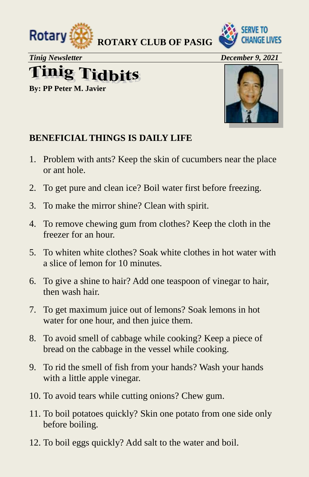



*Tinig Newsletter December 9, 2021*

# **Tinig Tidbits**

**By: PP Peter M. Javier**



#### **BENEFICIAL THINGS IS DAILY LIFE**

- 1. Problem with ants? Keep the skin of cucumbers near the place or ant hole.
- 2. To get pure and clean ice? Boil water first before freezing.
- 3. To make the mirror shine? Clean with spirit.
- 4. To remove chewing gum from clothes? Keep the cloth in the freezer for an hour.
- 5. To whiten white clothes? Soak white clothes in hot water with a slice of lemon for 10 minutes.
- 6. To give a shine to hair? Add one teaspoon of vinegar to hair, then wash hair.
- 7. To get maximum juice out of lemons? Soak lemons in hot water for one hour, and then juice them.
- 8. To avoid smell of cabbage while cooking? Keep a piece of bread on the cabbage in the vessel while cooking.
- 9. To rid the smell of fish from your hands? Wash your hands with a little apple vinegar.
- 10. To avoid tears while cutting onions? Chew gum.
- 11. To boil potatoes quickly? Skin one potato from one side only before boiling.
- 12. To boil eggs quickly? Add salt to the water and boil.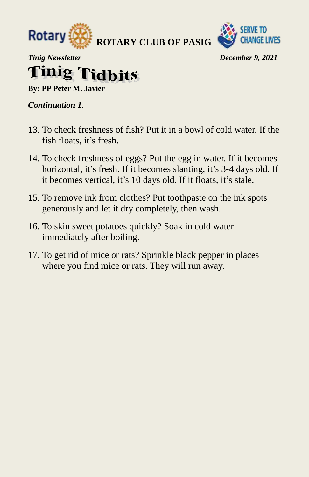



*Tinig Newsletter December 9, 2021* 

#### finig 7 l'idhits

**By: PP Peter M. Javier** 

#### *Continuation 1.*

- 13. To check freshness of fish? Put it in a bowl of cold water. If the fish floats, it's fresh.
- 14. To check freshness of eggs? Put the egg in water. If it becomes horizontal, it's fresh. If it becomes slanting, it's 3-4 days old. If it becomes vertical, it's 10 days old. If it floats, it's stale.
- 15. To remove ink from clothes? Put toothpaste on the ink spots generously and let it dry completely, then wash.
- 16. To skin sweet potatoes quickly? Soak in cold water immediately after boiling.
- 17. To get rid of mice or rats? Sprinkle black pepper in places where you find mice or rats. They will run away.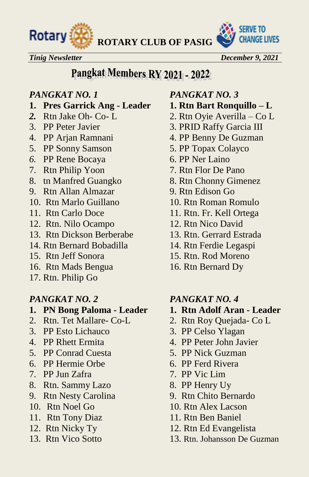

*Tinig Newsletter December 9, 2021* 

### Pangkat Members RY 2021 - 2022

- **1. Pres Garrick Ang Leader 1. Rtn Bart Ronquillo – L**
- 
- 
- 
- 5. PP Sonny Samson 5. PP Topax Colayco
- *6.* PP Rene Bocaya 6. PP Ner Laino
- 
- 8. tn Manfred Guangko 8. Rtn Chonny Gimenez
- 9. Rtn Allan Almazar 9. Rtn Edison Go
- 10. Rtn Marlo Guillano 10. Rtn Roman Romulo
- 
- 12. Rtn. Nilo Ocampo 12. Rtn Nico David
- 13. Rtn Dickson Berberabe 13. Rtn. Gerrard Estrada
- 14. Rtn Bernard Bobadilla 14. Rtn Ferdie Legaspi
- 
- 16. Rtn Mads Bengua 16. Rtn Bernard Dy
- 17. Rtn. Philip Go

- **1. PN Bong Paloma Leader 1. Rtn Adolf Aran Leader**
- 2. Rtn. Tet Mallare- Co-L 2. Rtn Roy Quejada- Co L
- 3. PP Esto Lichauco 3. PP Celso Ylagan
- 
- 5. PP Conrad Cuesta 5. PP Nick Guzman
- 6. PP Hermie Orbe 6. PP Ferd Rivera
- 7. PP Jun Zafra 7. PP Vic Lim
- 8. Rtn. Sammy Lazo 8. PP Henry Uy
- 9. Rtn Nesty Carolina 9. Rtn Chito Bernardo
- 
- 11. Rtn Tony Diaz 11. Rtn Ben Baniel
- 
- 

#### *PANGKAT NO. 1 PANGKAT NO. 3*

- 
- *2.* Rtn Jake Oh- Co- L 2. Rtn Oyie Averilla Co L
- 3. PP Peter Javier 3. PRID Raffy Garcia III
- 4. PP Arjan Ramnani 4. PP Benny De Guzman
	-
	-
- 7. Rtn Philip Yoon 7. Rtn Flor De Pano
	-
	-
	-
- 11. Rtn Carlo Doce 11. Rtn. Fr. Kell Ortega
	-
	-
	-
- 15. Rtn Jeff Sonora 15. Rtn. Rod Moreno
	-

#### *PANGKAT NO. 2 PANGKAT NO. 4*

- 
- 
- 
- 4. PP Rhett Ermita 4. PP Peter John Javier
	-
	-
	-
	-
	-
- 10. Rtn Noel Go 10. Rtn Alex Lacson
	-
- 12. Rtn Nicky Ty 12. Rtn Ed Evangelista
- 13. Rtn Vico Sotto 13. Rtn. Johansson De Guzman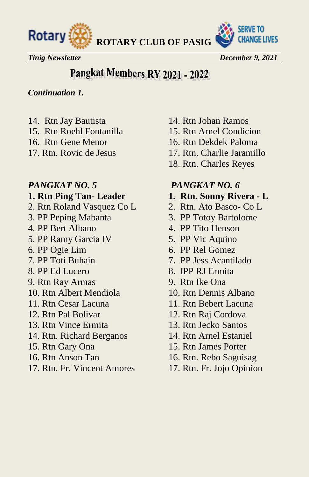



*Tinig Newsletter December 9, 2021*

### Pangkat Members RY 2021 - 2022

#### *Continuation 1.*

- 
- 
- 
- 

- 2. Rtn Roland Vasquez Co L 2. Rtn. Ato Basco- Co L
- 
- 
- 5. PP Ramy Garcia IV 5. PP Vic Aquino
- 
- 
- 
- 9. Rtn Ray Armas 9. Rtn Ike Ona
- 10. Rtn Albert Mendiola 10. Rtn Dennis Albano
- 
- 
- 13. Rtn Vince Ermita 13. Rtn Jecko Santos
- 14. Rtn. Richard Berganos 14. Rtn Arnel Estaniel
- 
- 
- 17. Rtn. Fr. Vincent Amores 17. Rtn. Fr. Jojo Opinion
- 14. Rtn Jay Bautista 14. Rtn Johan Ramos
- 15. Rtn Roehl Fontanilla 15. Rtn Arnel Condicion
- 16. Rtn Gene Menor 16. Rtn Dekdek Paloma
- 17. Rtn. Rovic de Jesus 17. Rtn. Charlie Jaramillo
	- 18. Rtn. Charles Reyes

#### *PANGKAT NO. 5 PANGKAT NO. 6*

- **1. Rtn Ping Tan- Leader 1. Rtn. Sonny Rivera - L**
	-
- 3. PP Peping Mabanta 3. PP Totoy Bartolome
- 4. PP Bert Albano 4. PP Tito Henson
	-
- 6. PP Ogie Lim 6. PP Rel Gomez
- 7. PP Toti Buhain 7. PP Jess Acantilado
- 8. PP Ed Lucero 8. IPP RJ Ermita
	-
	-
- 11. Rtn Cesar Lacuna 11. Rtn Bebert Lacuna
- 12. Rtn Pal Bolivar 12. Rtn Raj Cordova
	-
	-
- 15. Rtn Gary Ona 15. Rtn James Porter
- 16. Rtn Anson Tan 16. Rtn. Rebo Saguisag
	-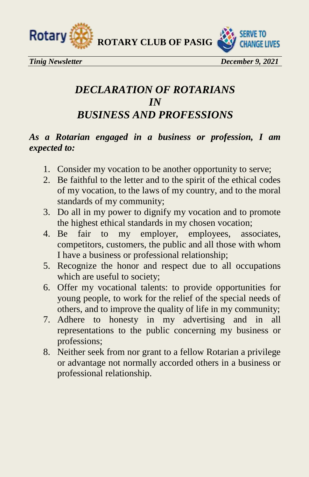



*Tinig Newsletter December 9, 2021*

#### *DECLARATION OF ROTARIANS IN BUSINESS AND PROFESSIONS*

#### *As a Rotarian engaged in a business or profession, I am expected to:*

- 1. Consider my vocation to be another opportunity to serve;
- 2. Be faithful to the letter and to the spirit of the ethical codes of my vocation, to the laws of my country, and to the moral standards of my community;
- 3. Do all in my power to dignify my vocation and to promote the highest ethical standards in my chosen vocation;
- 4. Be fair to my employer, employees, associates, competitors, customers, the public and all those with whom I have a business or professional relationship;
- 5. Recognize the honor and respect due to all occupations which are useful to society;
- 6. Offer my vocational talents: to provide opportunities for young people, to work for the relief of the special needs of others, and to improve the quality of life in my community;
- 7. Adhere to honesty in my advertising and in all representations to the public concerning my business or professions;
- 8. Neither seek from nor grant to a fellow Rotarian a privilege or advantage not normally accorded others in a business or professional relationship.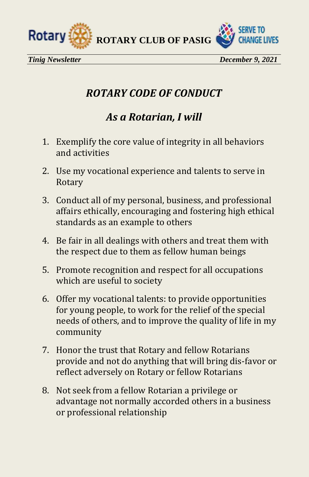



### *ROTARY CODE OF CONDUCT*

### *As a Rotarian, I will*

- 1. Exemplify the core value of integrity in all behaviors and activities
- 2. Use my vocational experience and talents to serve in Rotary
- 3. Conduct all of my personal, business, and professional affairs ethically, encouraging and fostering high ethical standards as an example to others
- 4. Be fair in all dealings with others and treat them with the respect due to them as fellow human beings
- 5. Promote recognition and respect for all occupations which are useful to society
- 6. Offer my vocational talents: to provide opportunities for young people, to work for the relief of the special needs of others, and to improve the quality of life in my community
- 7. Honor the trust that Rotary and fellow Rotarians provide and not do anything that will bring dis-favor or reflect adversely on Rotary or fellow Rotarians
- 8. Not seek from a fellow Rotarian a privilege or advantage not normally accorded others in a business or professional relationship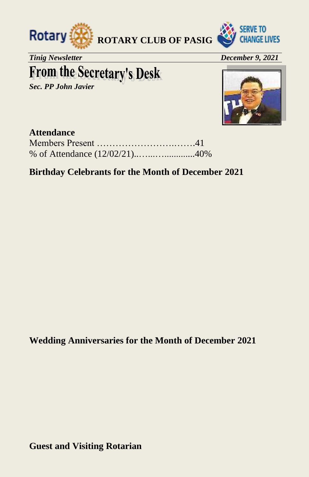



*Tinig Newsletter December 9, 2021* 

## **From the Secretary's Desk**

*Sec. PP John Javier* 



#### **Attendance**

#### **Birthday Celebrants for the Month of December 2021**

**Wedding Anniversaries for the Month of December 2021** 

**Guest and Visiting Rotarian**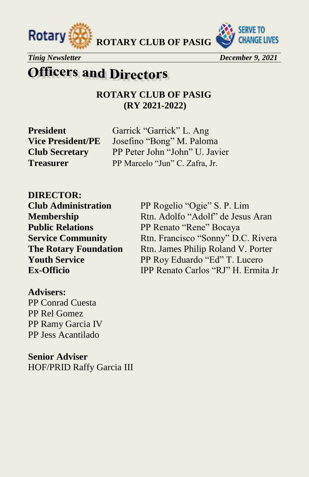



*Tinig Newsletter December 9, 2021* 

### **Officers and Directors**

**ROTARY CLUB OF PASIG (RY 2021-2022)**

**President** Garrick "Garrick" L. Ang Vice President/PE Josefino "Bong" M. Paloma **Club Secretary** PP Peter John "John" U. Javier **Treasurer** PP Marcelo "Jun" C. Zafra, Jr.

**DIRECTOR:** 

**Club Administration** PP Rogelio "Ogie" S. P. Lim **Membership Rtn.** Adolfo "Adolf" de Jesus Aran **Public Relations** PP Renato "Rene" Bocaya **Service Community** Rtn. Francisco "Sonny" D.C. Rivera **The Rotary Foundation** Rtn. James Philip Roland V. Porter **Youth Service** PP Roy Eduardo "Ed" T. Lucero **Ex-Officio** IPP Renato Carlos "RJ" H. Ermita Jr

#### **Advisers:**

PP Conrad Cuesta PP Rel Gomez PP Ramy Garcia IV PP Jess Acantilado

**Senior Adviser**  HOF/PRID Raffy Garcia III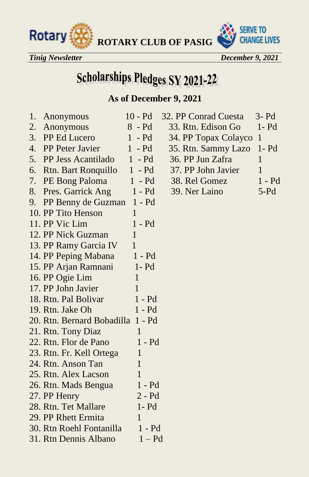



*Tinig Newsletter December 9, 2021* 

## **Scholarships Pledges SY 2021-22**

#### **As of December 9, 2021**

| 1. | Anonymous                         | $10 - Pd$    | 32. PP Conrad Cuesta | $3-$ Pd $\overline{\phantom{a}}$ |
|----|-----------------------------------|--------------|----------------------|----------------------------------|
| 2. | Anonymous                         | $8 - Pd$     | 33. Rtn. Edison Go   | $1 - Pd$                         |
| 3. | PP Ed Lucero                      | $1 - Pd$     | 34. PP Topax Colayco | $\mathbf{1}$                     |
| 4. | PP Peter Javier                   | $1 - Pd$     | 35. Rtn. Sammy Lazo  | $1 - Pd$                         |
| 5. | PP Jess Acantilado                | $1 - Pd$     | 36. PP Jun Zafra     | $\mathbf{1}$                     |
| 6. | <b>Rtn. Bart Ronquillo</b>        | $1 - Pd$     | 37. PP John Javier   | $\mathbf{1}$                     |
| 7. | PE Bong Paloma                    | $1 - Pd$     | 38. Rel Gomez        | $1 - Pd$                         |
| 8. | Pres. Garrick Ang                 | $1 - Pd$     | 39. Ner Laino        | $5-Pd$                           |
| 9. | PP Benny de Guzman 1 - Pd         |              |                      |                                  |
|    | 10. PP Tito Henson                | 1            |                      |                                  |
|    | 11. PP Vic Lim                    | $1 - Pd$     |                      |                                  |
|    | 12. PP Nick Guzman                | $\mathbf{1}$ |                      |                                  |
|    | 13. PP Ramy Garcia IV             | 1            |                      |                                  |
|    | 14. PP Peping Mabana              | 1 - Pd       |                      |                                  |
|    | 15. PP Arjan Ramnani              | $1 - Pd$     |                      |                                  |
|    | 16. PP Ogie Lim                   | $\mathbf 1$  |                      |                                  |
|    | 17. PP John Javier                | 1            |                      |                                  |
|    | 18. Rtn. Pal Bolivar              | $1 - Pd$     |                      |                                  |
|    | 19. Rtn. Jake Oh                  | 1 - Pd       |                      |                                  |
|    | 20. Rtn. Bernard Bobadilla 1 - Pd |              |                      |                                  |
|    | 21. Rtn. Tony Diaz                | 1            |                      |                                  |
|    | 22. Rtn. Flor de Pano             | $1 - Pd$     |                      |                                  |
|    | 23. Rtn. Fr. Kell Ortega          | 1            |                      |                                  |
|    | 24. Rtn. Anson Tan                | 1            |                      |                                  |
|    | 25. Rtn. Alex Lacson              | 1            |                      |                                  |
|    | 26. Rtn. Mads Bengua              | $1 - Pd$     |                      |                                  |
|    | 27. PP Henry                      | $2 - Pd$     |                      |                                  |
|    | 28. Rtn. Tet Mallare              | $1 - Pd$     |                      |                                  |
|    | 29. PP Rhett Ermita               | 1            |                      |                                  |
|    | 30. Rtn Roehl Fontanilla          | $1 - Pd$     |                      |                                  |
|    | 31. Rtn Dennis Albano             | $1 - Pd$     |                      |                                  |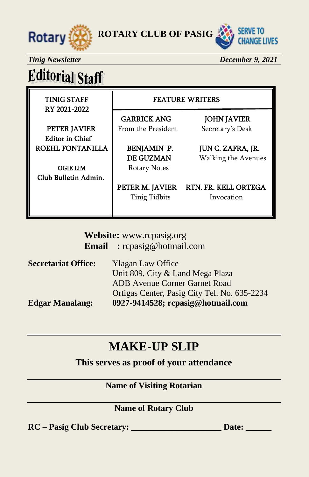



*Tinig Newsletter December 9, 2021* 

## **Editorial Staff**

RY 2021-2022

#### TINIG STAFF FEATURE WRITERS

GARRICK ANG JOHN JAVIER **PETER JAVIER** From the President Secretary's Desk

 Editor in Chief ROEHL FONTANILLA | BENJAMIN P. JUN C. ZAFRA, JR.

OGIE LIM Rotary Notes Club Bulletin Admin.

DE GUZMAN Walking the Avenues

PETER M. JAVIER RTN. FR. KELL ORTEGA Tinig Tidbits Invocation

**Website:** [www.rcpasig.org](http://www.rcpasig.org/) **Email :** [rcpasig@hotmail.com](mailto:rcpasig@hotmail.com) 

| <b>Secretariat Office:</b> | <b>Ylagan Law Office</b>                     |
|----------------------------|----------------------------------------------|
|                            | Unit 809, City & Land Mega Plaza             |
|                            | <b>ADB</b> Avenue Corner Garnet Road         |
|                            | Ortigas Center, Pasig City Tel. No. 635-2234 |
| <b>Edgar Manalang:</b>     | 0927-9414528; rcpasig@hotmail.com            |

### **MAKE-UP SLIP**

**This serves as proof of your attendance** 

#### **Name of Visiting Rotarian**

#### **Name of Rotary Club**

**RC – Pasig Club Secretary: \_\_\_\_\_\_\_\_\_\_\_\_\_\_\_\_\_\_\_\_\_ Date: \_\_\_\_\_\_**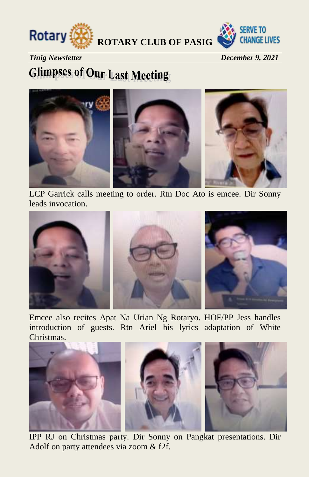



*Tinig Newsletter December 9, 2021* 

### **Glimpses of Our Last Meeting**



LCP Garrick calls meeting to order. Rtn Doc Ato is emcee. Dir Sonny leads invocation.



Emcee also recites Apat Na Urian Ng Rotaryo. HOF/PP Jess handles introduction of guests. Rtn Ariel his lyrics adaptation of White Christmas.



IPP RJ on Christmas party. Dir Sonny on Pangkat presentations. Dir Adolf on party attendees via zoom & f2f.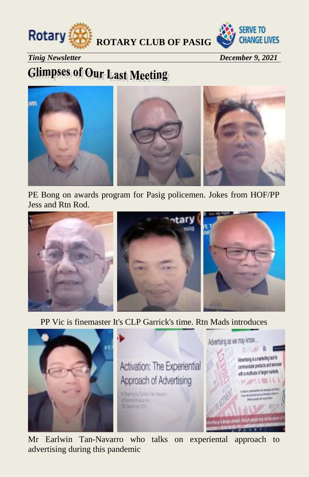



*Tinig Newsletter December 9, 2021* 

## **Glimpses of Our Last Meeting**



PE Bong on awards program for Pasig policemen. Jokes from HOF/PP Jess and Rtn Rod.



PP Vic is finemaster It's CLP Garrick's time. Rtn Mads introduces



Mr Earlwin Tan-Navarro who talks on experiental approach to advertising during this pandemic